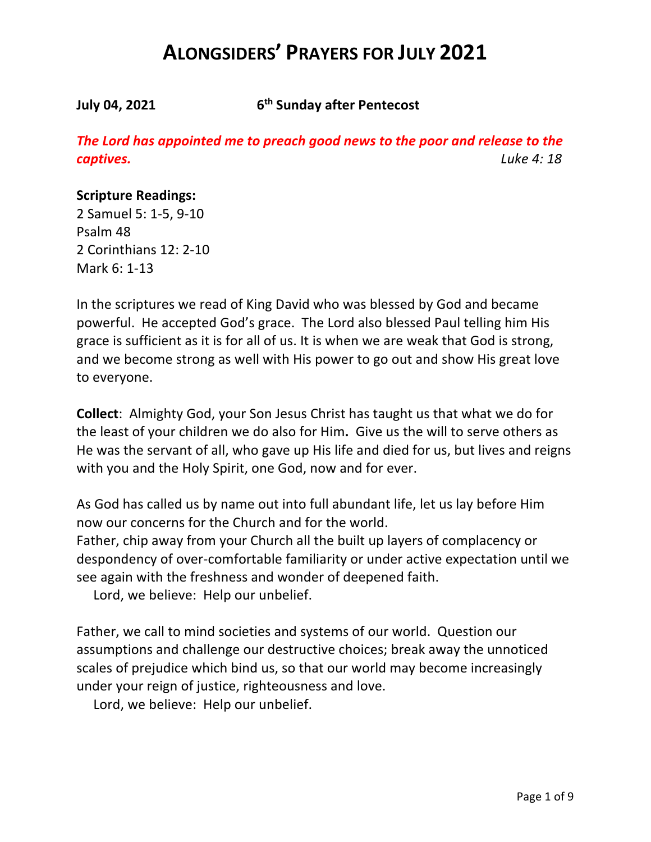**July 04, 2021 6th Sunday after Pentecost**

*The Lord has appointed me to preach good news to the poor and release to the captives. Luke 4: 18*

### **Scripture Readings:**

2 Samuel 5: 1-5, 9-10 Psalm 48 2 Corinthians 12: 2-10 Mark 6: 1-13

In the scriptures we read of King David who was blessed by God and became powerful. He accepted God's grace. The Lord also blessed Paul telling him His grace is sufficient as it is for all of us. It is when we are weak that God is strong, and we become strong as well with His power to go out and show His great love to everyone.

**Collect**: Almighty God, your Son Jesus Christ has taught us that what we do for the least of your children we do also for Him**.** Give us the will to serve others as He was the servant of all, who gave up His life and died for us, but lives and reigns with you and the Holy Spirit, one God, now and for ever.

As God has called us by name out into full abundant life, let us lay before Him now our concerns for the Church and for the world.

Father, chip away from your Church all the built up layers of complacency or despondency of over-comfortable familiarity or under active expectation until we see again with the freshness and wonder of deepened faith.

Lord, we believe: Help our unbelief.

Father, we call to mind societies and systems of our world. Question our assumptions and challenge our destructive choices; break away the unnoticed scales of prejudice which bind us, so that our world may become increasingly under your reign of justice, righteousness and love.

Lord, we believe: Help our unbelief.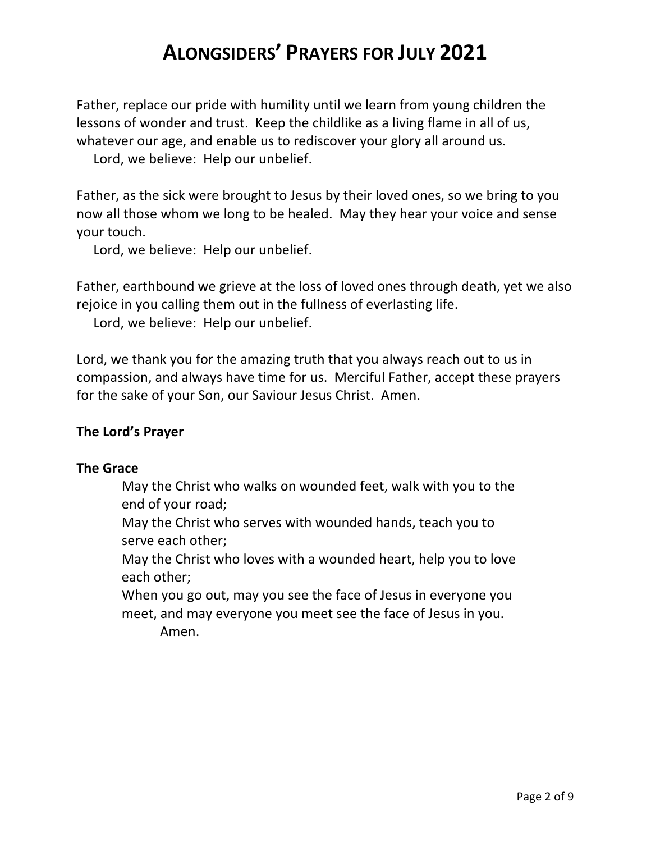Father, replace our pride with humility until we learn from young children the lessons of wonder and trust. Keep the childlike as a living flame in all of us, whatever our age, and enable us to rediscover your glory all around us.

Lord, we believe: Help our unbelief.

Father, as the sick were brought to Jesus by their loved ones, so we bring to you now all those whom we long to be healed. May they hear your voice and sense your touch.

Lord, we believe: Help our unbelief.

Father, earthbound we grieve at the loss of loved ones through death, yet we also rejoice in you calling them out in the fullness of everlasting life.

Lord, we believe: Help our unbelief.

Lord, we thank you for the amazing truth that you always reach out to us in compassion, and always have time for us. Merciful Father, accept these prayers for the sake of your Son, our Saviour Jesus Christ. Amen.

# **The Lord's Prayer**

### **The Grace**

May the Christ who walks on wounded feet, walk with you to the end of your road;

May the Christ who serves with wounded hands, teach you to serve each other;

May the Christ who loves with a wounded heart, help you to love each other;

When you go out, may you see the face of Jesus in everyone you meet, and may everyone you meet see the face of Jesus in you. Amen.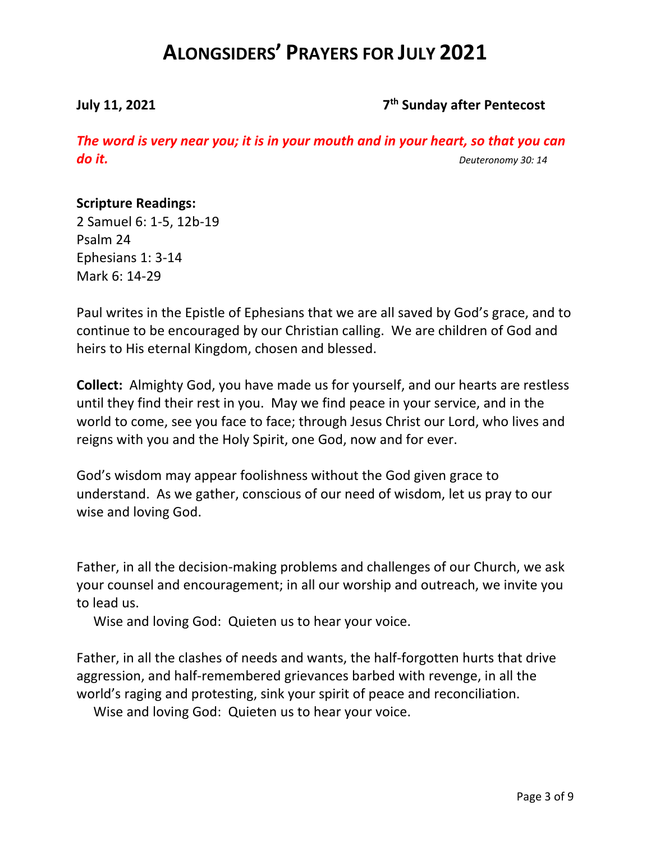# **July 11, 2021 7th Sunday after Pentecost**

*The word is very near you; it is in your mouth and in your heart, so that you can do it. Deuteronomy 30: 14*

# **Scripture Readings:**

2 Samuel 6: 1-5, 12b-19 Psalm 24 Ephesians 1: 3-14 Mark 6: 14-29

Paul writes in the Epistle of Ephesians that we are all saved by God's grace, and to continue to be encouraged by our Christian calling. We are children of God and heirs to His eternal Kingdom, chosen and blessed.

**Collect:** Almighty God, you have made us for yourself, and our hearts are restless until they find their rest in you. May we find peace in your service, and in the world to come, see you face to face; through Jesus Christ our Lord, who lives and reigns with you and the Holy Spirit, one God, now and for ever.

God's wisdom may appear foolishness without the God given grace to understand. As we gather, conscious of our need of wisdom, let us pray to our wise and loving God.

Father, in all the decision-making problems and challenges of our Church, we ask your counsel and encouragement; in all our worship and outreach, we invite you to lead us.

Wise and loving God: Quieten us to hear your voice.

Father, in all the clashes of needs and wants, the half-forgotten hurts that drive aggression, and half-remembered grievances barbed with revenge, in all the world's raging and protesting, sink your spirit of peace and reconciliation.

Wise and loving God: Quieten us to hear your voice.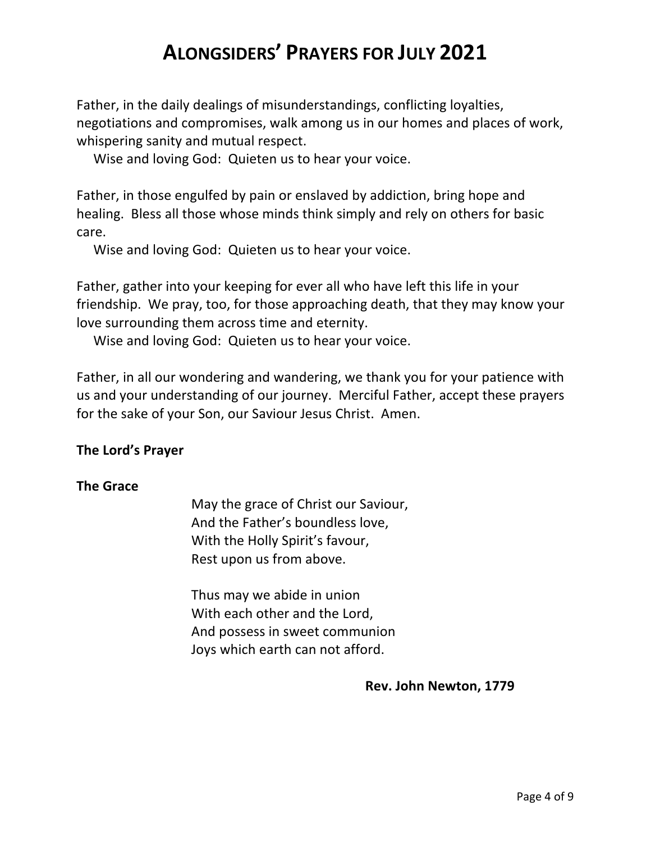Father, in the daily dealings of misunderstandings, conflicting loyalties, negotiations and compromises, walk among us in our homes and places of work, whispering sanity and mutual respect.

Wise and loving God: Quieten us to hear your voice.

Father, in those engulfed by pain or enslaved by addiction, bring hope and healing. Bless all those whose minds think simply and rely on others for basic care.

Wise and loving God: Quieten us to hear your voice.

Father, gather into your keeping for ever all who have left this life in your friendship. We pray, too, for those approaching death, that they may know your love surrounding them across time and eternity.

Wise and loving God: Quieten us to hear your voice.

Father, in all our wondering and wandering, we thank you for your patience with us and your understanding of our journey. Merciful Father, accept these prayers for the sake of your Son, our Saviour Jesus Christ. Amen.

# **The Lord's Prayer**

# **The Grace**

May the grace of Christ our Saviour, And the Father's boundless love, With the Holly Spirit's favour, Rest upon us from above.

Thus may we abide in union With each other and the Lord, And possess in sweet communion Joys which earth can not afford.

**Rev. John Newton, 1779**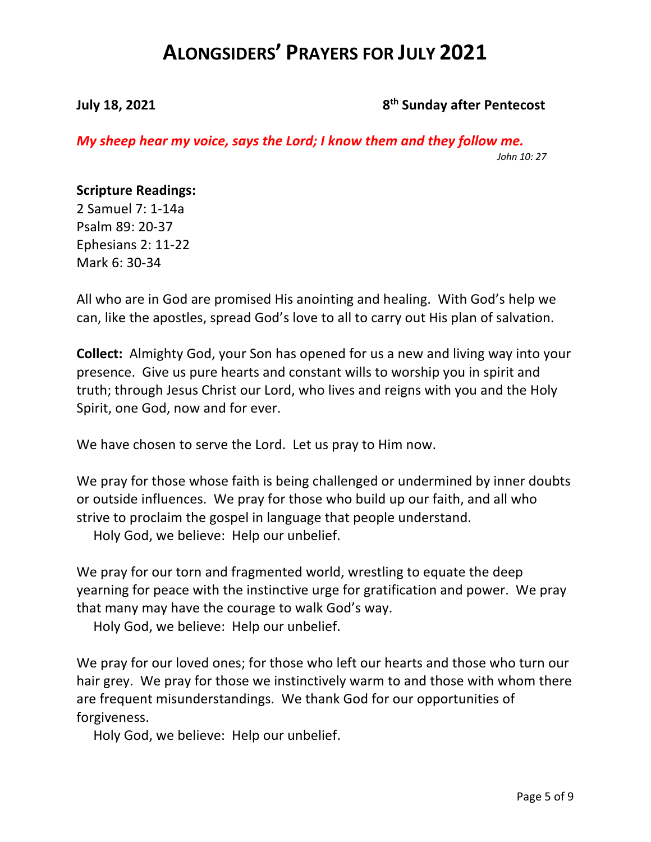### **July 18, 2021** 8<sup>th</sup> Sunday after Pentecost

*My sheep hear my voice, says the Lord; I know them and they follow me. John 10: 27*

#### **Scripture Readings:**

2 Samuel 7: 1-14a Psalm 89: 20-37 Ephesians 2: 11-22 Mark 6: 30-34

All who are in God are promised His anointing and healing. With God's help we can, like the apostles, spread God's love to all to carry out His plan of salvation.

**Collect:** Almighty God, your Son has opened for us a new and living way into your presence. Give us pure hearts and constant wills to worship you in spirit and truth; through Jesus Christ our Lord, who lives and reigns with you and the Holy Spirit, one God, now and for ever.

We have chosen to serve the Lord. Let us pray to Him now.

We pray for those whose faith is being challenged or undermined by inner doubts or outside influences. We pray for those who build up our faith, and all who strive to proclaim the gospel in language that people understand.

Holy God, we believe: Help our unbelief.

We pray for our torn and fragmented world, wrestling to equate the deep yearning for peace with the instinctive urge for gratification and power. We pray that many may have the courage to walk God's way.

Holy God, we believe: Help our unbelief.

We pray for our loved ones; for those who left our hearts and those who turn our hair grey. We pray for those we instinctively warm to and those with whom there are frequent misunderstandings. We thank God for our opportunities of forgiveness.

Holy God, we believe: Help our unbelief.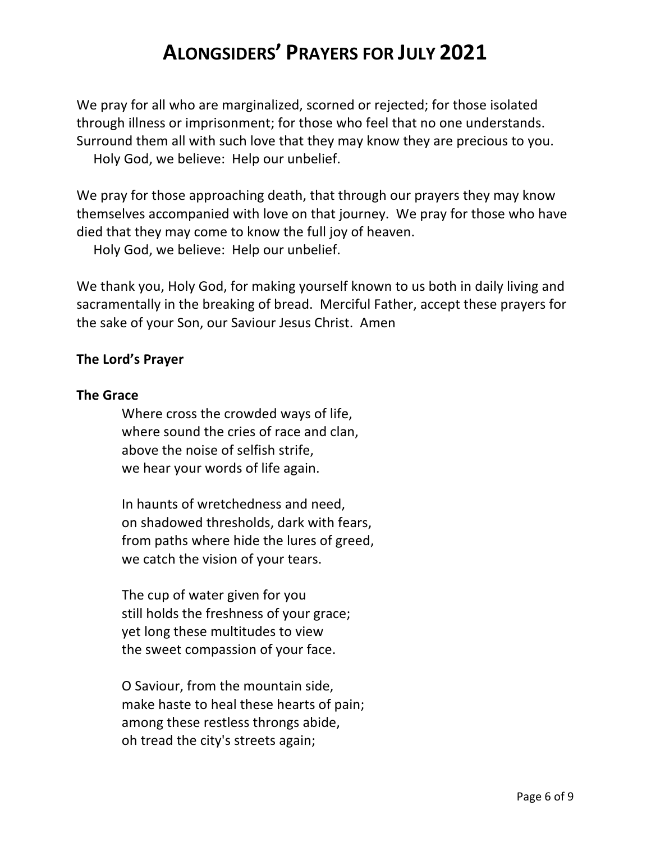We pray for all who are marginalized, scorned or rejected; for those isolated through illness or imprisonment; for those who feel that no one understands. Surround them all with such love that they may know they are precious to you. Holy God, we believe: Help our unbelief.

We pray for those approaching death, that through our prayers they may know themselves accompanied with love on that journey. We pray for those who have died that they may come to know the full joy of heaven.

Holy God, we believe: Help our unbelief.

We thank you, Holy God, for making yourself known to us both in daily living and sacramentally in the breaking of bread. Merciful Father, accept these prayers for the sake of your Son, our Saviour Jesus Christ. Amen

### **The Lord's Prayer**

### **The Grace**

Where cross the crowded ways of life, where sound the cries of race and clan, above the noise of selfish strife, we hear your words of life again.

In haunts of wretchedness and need, on shadowed thresholds, dark with fears, from paths where hide the lures of greed, we catch the vision of your tears.

The cup of water given for you still holds the freshness of your grace; yet long these multitudes to view the sweet compassion of your face.

O Saviour, from the mountain side, make haste to heal these hearts of pain; among these restless throngs abide, oh tread the city's streets again;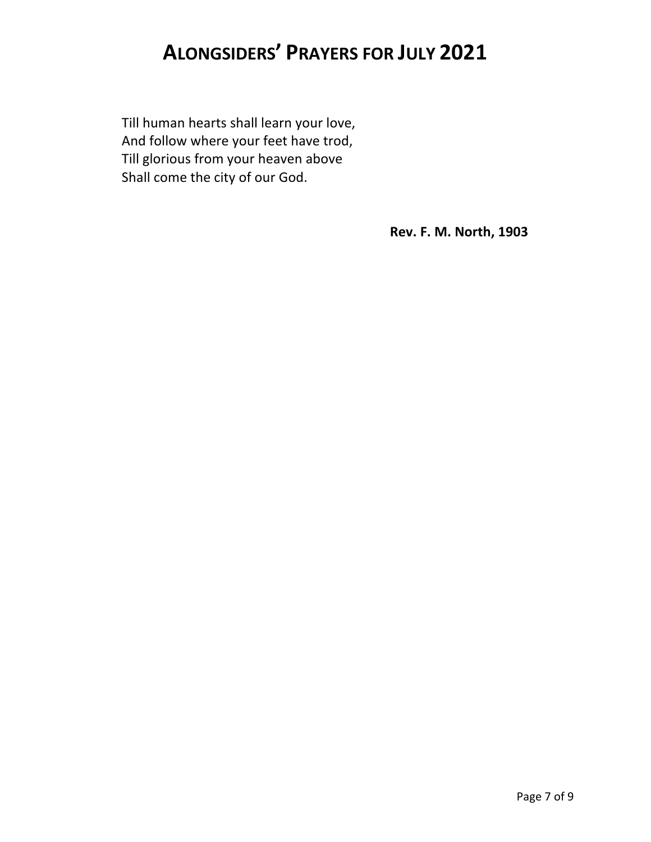Till human hearts shall learn your love, And follow where your feet have trod, Till glorious from your heaven above Shall come the city of our God.

**Rev. F. M. North, 1903**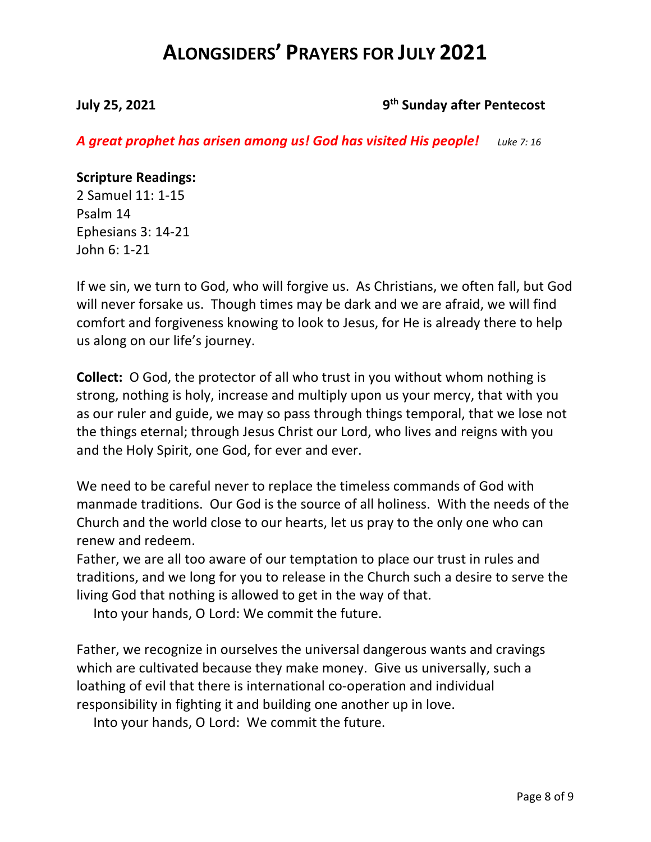### **July 25, 2021 9th Sunday after Pentecost**

*A great prophet has arisen among us! God has visited His people! Luke 7: 16*

### **Scripture Readings:**

2 Samuel 11: 1-15 Psalm 14 Ephesians 3: 14-21 John 6: 1-21

If we sin, we turn to God, who will forgive us. As Christians, we often fall, but God will never forsake us. Though times may be dark and we are afraid, we will find comfort and forgiveness knowing to look to Jesus, for He is already there to help us along on our life's journey.

**Collect:** O God, the protector of all who trust in you without whom nothing is strong, nothing is holy, increase and multiply upon us your mercy, that with you as our ruler and guide, we may so pass through things temporal, that we lose not the things eternal; through Jesus Christ our Lord, who lives and reigns with you and the Holy Spirit, one God, for ever and ever.

We need to be careful never to replace the timeless commands of God with manmade traditions. Our God is the source of all holiness. With the needs of the Church and the world close to our hearts, let us pray to the only one who can renew and redeem.

Father, we are all too aware of our temptation to place our trust in rules and traditions, and we long for you to release in the Church such a desire to serve the living God that nothing is allowed to get in the way of that.

Into your hands, O Lord: We commit the future.

Father, we recognize in ourselves the universal dangerous wants and cravings which are cultivated because they make money. Give us universally, such a loathing of evil that there is international co-operation and individual responsibility in fighting it and building one another up in love.

Into your hands, O Lord: We commit the future.